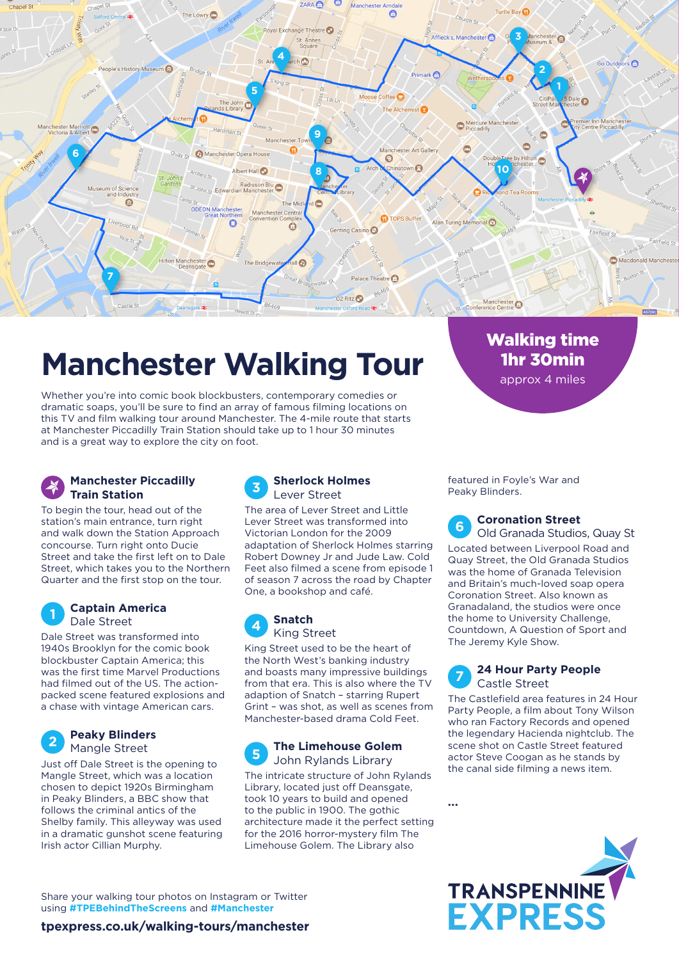

# **Manchester Walking Tour**

Whether you're into comic book blockbusters, contemporary comedies or dramatic soaps, you'll be sure to find an array of famous filming locations on this TV and film walking tour around Manchester. The 4-mile route that starts at Manchester Piccadilly Train Station should take up to 1 hour 30 minutes and is a great way to explore the city on foot.

## **Manchester Piccadilly Train Station**

To begin the tour, head out of the station's main entrance, turn right and walk down the Station Approach concourse. Turn right onto Ducie Street and take the first left on to Dale Street, which takes you to the Northern Quarter and the first stop on the tour.

### **Captain America** Dale Street

**1**

**2**

Dale Street was transformed into 1940s Brooklyn for the comic book blockbuster Captain America; this was the first time Marvel Productions had filmed out of the US. The actionpacked scene featured explosions and a chase with vintage American cars.

## **Peaky Blinders** Mangle Street

Just off Dale Street is the opening to Mangle Street, which was a location chosen to depict 1920s Birmingham in Peaky Blinders, a BBC show that follows the criminal antics of the Shelby family. This alleyway was used in a dramatic gunshot scene featuring Irish actor Cillian Murphy.

 **Sherlock Holmes** Lever Street **3**

The area of Lever Street and Little Lever Street was transformed into Victorian London for the 2009 adaptation of Sherlock Holmes starring Robert Downey Jr and Jude Law. Cold Feet also filmed a scene from episode 1 of season 7 across the road by Chapter One, a bookshop and café.

#### **Snatch** King Street **4**

King Street used to be the heart of the North West's banking industry and boasts many impressive buildings from that era. This is also where the TV adaption of Snatch – starring Rupert Grint – was shot, as well as scenes from Manchester-based drama Cold Feet.

#### **The Limehouse Golem** John Rylands Library **5**

The intricate structure of John Rylands Library, located just off Deansgate, took 10 years to build and opened to the public in 1900. The gothic architecture made it the perfect setting for the 2016 horror-mystery film The Limehouse Golem. The Library also

featured in Foyle's War and Peaky Blinders.

 **Coronation Street** Old Granada Studios, Quay St **6**

1hr 30min approx 4 miles

Located between Liverpool Road and Quay Street, the Old Granada Studios was the home of Granada Television and Britain's much-loved soap opera Coronation Street. Also known as Granadaland, the studios were once the home to University Challenge, Countdown, A Question of Sport and The Jeremy Kyle Show.

#### **7 24 Hour Party People** Castle Street

The Castlefield area features in 24 Hour Party People, a film about Tony Wilson who ran Factory Records and opened the legendary Hacienda nightclub. The scene shot on Castle Street featured actor Steve Coogan as he stands by the canal side filming a news item.

**...**



Share your walking tour photos on Instagram or Twitter using **#TPEBehindTheScreens** and **#Manchester**

## **tpexpress.co.uk/walking-tours/manchester**